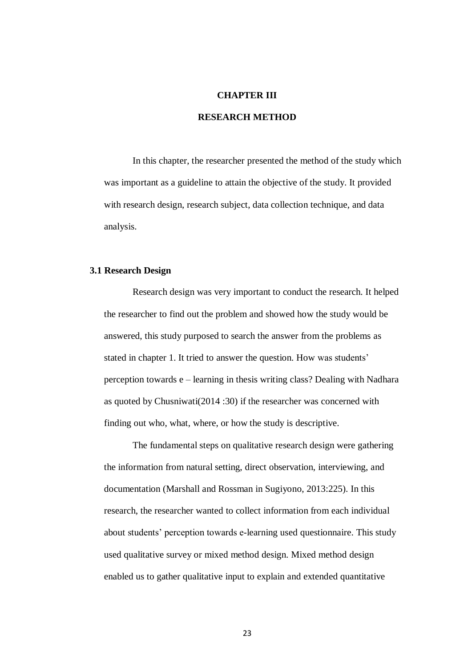# **CHAPTER III**

# **RESEARCH METHOD**

In this chapter, the researcher presented the method of the study which was important as a guideline to attain the objective of the study. It provided with research design, research subject, data collection technique, and data analysis.

## **3.1 Research Design**

Research design was very important to conduct the research. It helped the researcher to find out the problem and showed how the study would be answered, this study purposed to search the answer from the problems as stated in chapter 1. It tried to answer the question. How was students' perception towards e – learning in thesis writing class? Dealing with Nadhara as quoted by Chusniwati(2014 :30) if the researcher was concerned with finding out who, what, where, or how the study is descriptive.

The fundamental steps on qualitative research design were gathering the information from natural setting, direct observation, interviewing, and documentation (Marshall and Rossman in Sugiyono, 2013:225). In this research, the researcher wanted to collect information from each individual about students' perception towards e-learning used questionnaire. This study used qualitative survey or mixed method design. Mixed method design enabled us to gather qualitative input to explain and extended quantitative

23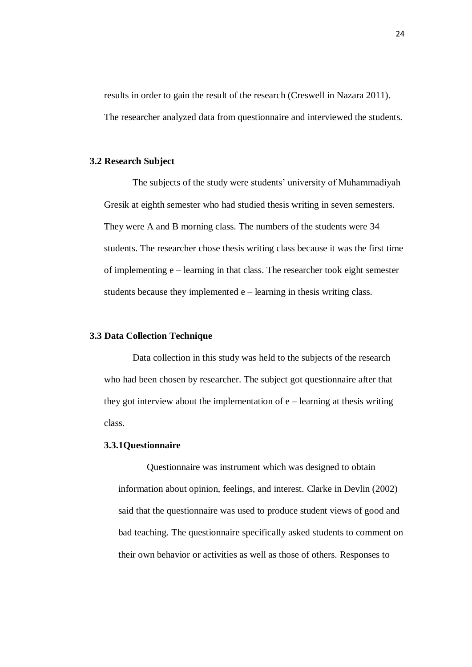results in order to gain the result of the research (Creswell in Nazara 2011). The researcher analyzed data from questionnaire and interviewed the students.

# **3.2 Research Subject**

The subjects of the study were students' university of Muhammadiyah Gresik at eighth semester who had studied thesis writing in seven semesters. They were A and B morning class. The numbers of the students were 34 students. The researcher chose thesis writing class because it was the first time of implementing e – learning in that class. The researcher took eight semester students because they implemented  $e$  – learning in thesis writing class.

### **3.3 Data Collection Technique**

Data collection in this study was held to the subjects of the research who had been chosen by researcher. The subject got questionnaire after that they got interview about the implementation of  $e$  – learning at thesis writing class.

#### **3.3.1Questionnaire**

Questionnaire was instrument which was designed to obtain information about opinion, feelings, and interest. Clarke in Devlin (2002) said that the questionnaire was used to produce student views of good and bad teaching. The questionnaire specifically asked students to comment on their own behavior or activities as well as those of others. Responses to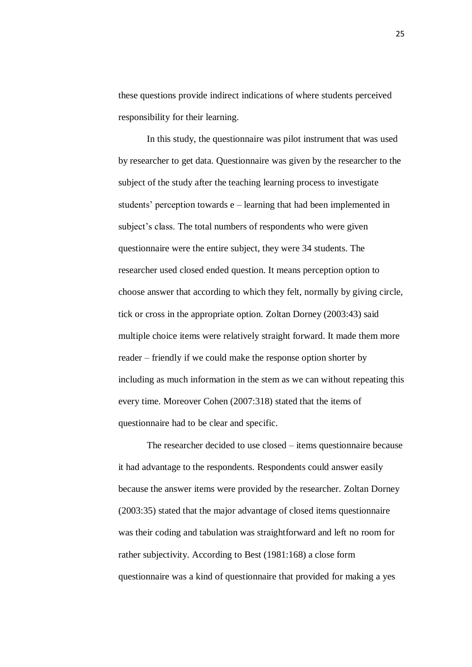these questions provide indirect indications of where students perceived responsibility for their learning.

In this study, the questionnaire was pilot instrument that was used by researcher to get data. Questionnaire was given by the researcher to the subject of the study after the teaching learning process to investigate students' perception towards e – learning that had been implemented in subject's class. The total numbers of respondents who were given questionnaire were the entire subject, they were 34 students. The researcher used closed ended question. It means perception option to choose answer that according to which they felt, normally by giving circle, tick or cross in the appropriate option. Zoltan Dorney (2003:43) said multiple choice items were relatively straight forward. It made them more reader – friendly if we could make the response option shorter by including as much information in the stem as we can without repeating this every time. Moreover Cohen (2007:318) stated that the items of questionnaire had to be clear and specific.

The researcher decided to use closed – items questionnaire because it had advantage to the respondents. Respondents could answer easily because the answer items were provided by the researcher. Zoltan Dorney (2003:35) stated that the major advantage of closed items questionnaire was their coding and tabulation was straightforward and left no room for rather subjectivity. According to Best (1981:168) a close form questionnaire was a kind of questionnaire that provided for making a yes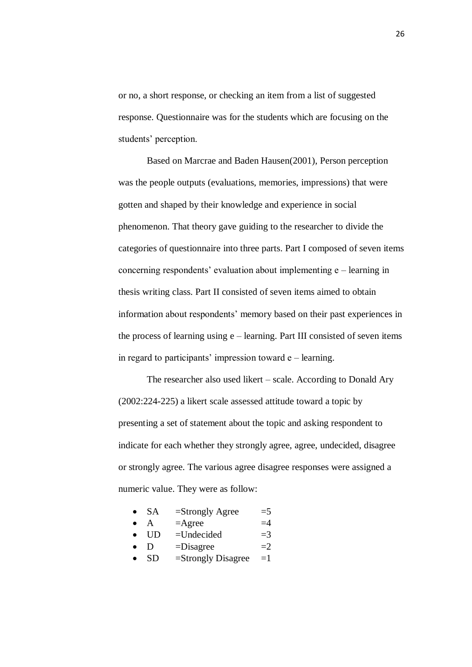or no, a short response, or checking an item from a list of suggested response. Questionnaire was for the students which are focusing on the students' perception.

Based on Marcrae and Baden Hausen(2001), Person perception was the people outputs (evaluations, memories, impressions) that were gotten and shaped by their knowledge and experience in social phenomenon. That theory gave guiding to the researcher to divide the categories of questionnaire into three parts. Part I composed of seven items concerning respondents' evaluation about implementing e – learning in thesis writing class. Part II consisted of seven items aimed to obtain information about respondents' memory based on their past experiences in the process of learning using e – learning. Part III consisted of seven items in regard to participants' impression toward e – learning.

The researcher also used likert – scale. According to Donald Ary (2002:224-225) a likert scale assessed attitude toward a topic by presenting a set of statement about the topic and asking respondent to indicate for each whether they strongly agree, agree, undecided, disagree or strongly agree. The various agree disagree responses were assigned a numeric value. They were as follow:

- SA  $=$ Strongly Agree  $=$  5
	- $A = \text{Agree}$   $=4$
- $\bullet$  UD =Undecided =3
- $\bullet$  D  $=$ Disagree  $=2$
- SD  $=$ Strongly Disagree  $=1$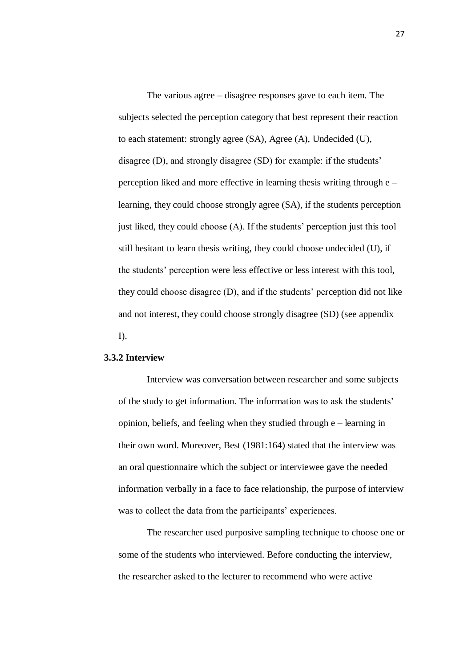The various agree – disagree responses gave to each item. The subjects selected the perception category that best represent their reaction to each statement: strongly agree (SA), Agree (A), Undecided (U), disagree (D), and strongly disagree (SD) for example: if the students' perception liked and more effective in learning thesis writing through e – learning, they could choose strongly agree (SA), if the students perception just liked, they could choose (A). If the students' perception just this tool still hesitant to learn thesis writing, they could choose undecided (U), if the students' perception were less effective or less interest with this tool, they could choose disagree (D), and if the students' perception did not like and not interest, they could choose strongly disagree (SD) (see appendix I).

## **3.3.2 Interview**

Interview was conversation between researcher and some subjects of the study to get information. The information was to ask the students' opinion, beliefs, and feeling when they studied through e – learning in their own word. Moreover, Best (1981:164) stated that the interview was an oral questionnaire which the subject or interviewee gave the needed information verbally in a face to face relationship, the purpose of interview was to collect the data from the participants' experiences.

The researcher used purposive sampling technique to choose one or some of the students who interviewed. Before conducting the interview, the researcher asked to the lecturer to recommend who were active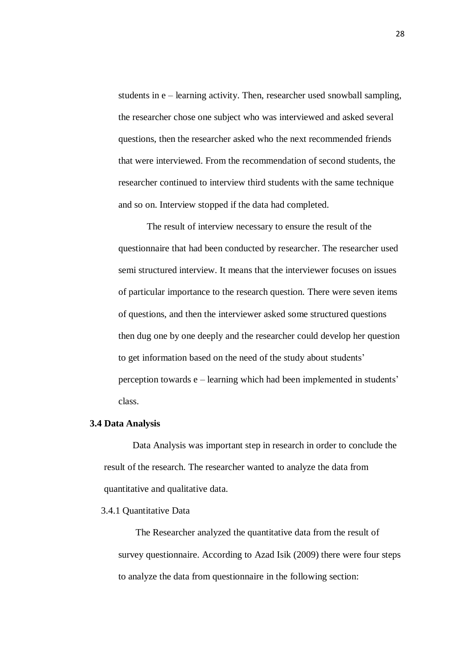students in e – learning activity. Then, researcher used snowball sampling, the researcher chose one subject who was interviewed and asked several questions, then the researcher asked who the next recommended friends that were interviewed. From the recommendation of second students, the researcher continued to interview third students with the same technique and so on. Interview stopped if the data had completed.

The result of interview necessary to ensure the result of the questionnaire that had been conducted by researcher. The researcher used semi structured interview. It means that the interviewer focuses on issues of particular importance to the research question. There were seven items of questions, and then the interviewer asked some structured questions then dug one by one deeply and the researcher could develop her question to get information based on the need of the study about students' perception towards e – learning which had been implemented in students' class.

#### **3.4 Data Analysis**

Data Analysis was important step in research in order to conclude the result of the research. The researcher wanted to analyze the data from quantitative and qualitative data.

#### 3.4.1 Quantitative Data

The Researcher analyzed the quantitative data from the result of survey questionnaire. According to Azad Isik (2009) there were four steps to analyze the data from questionnaire in the following section: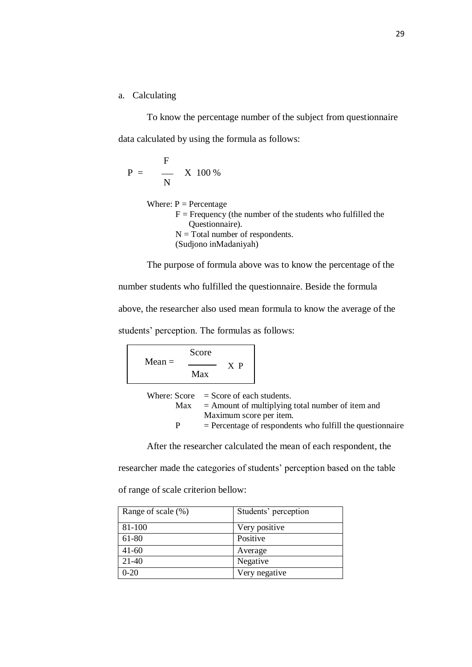# a. Calculating

To know the percentage number of the subject from questionnaire data calculated by using the formula as follows:

$$
P = \frac{F}{N} \times 100\%
$$

Where:  $P =$  Percentage  $F =$  Frequency (the number of the students who fulfilled the Questionnaire).  $N = Total number of respondents.$ (Sudjono inMadaniyah)

The purpose of formula above was to know the percentage of the number students who fulfilled the questionnaire. Beside the formula above, the researcher also used mean formula to know the average of the students' perception. The formulas as follows:

| $Mean =$ | Score |    |  |
|----------|-------|----|--|
|          | Max   | XР |  |
|          |       |    |  |

|    | Where: $Score = Score$ of each students.                    |
|----|-------------------------------------------------------------|
|    | $Max =$ Amount of multiplying total number of item and      |
|    | Maximum score per item.                                     |
| P. | $=$ Percentage of respondents who fulfill the questionnaire |

After the researcher calculated the mean of each respondent, the

researcher made the categories of students' perception based on the table

of range of scale criterion bellow:

| Range of scale (%) | Students' perception |
|--------------------|----------------------|
| 81-100             | Very positive        |
| 61-80              | Positive             |
| $41-60$            | Average              |
| 21-40              | Negative             |
| $0-20$             | Very negative        |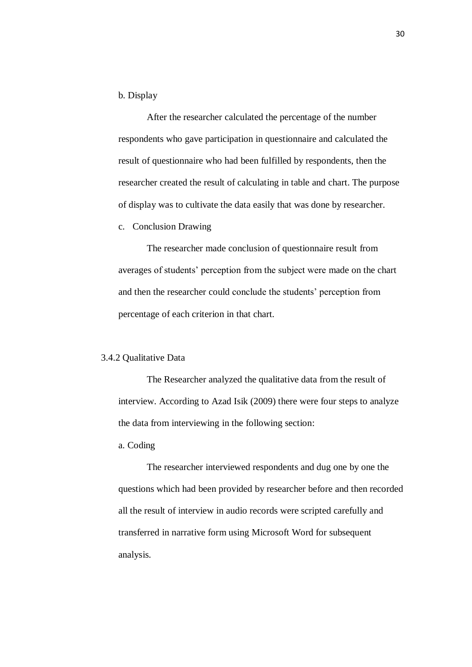## b. Display

After the researcher calculated the percentage of the number respondents who gave participation in questionnaire and calculated the result of questionnaire who had been fulfilled by respondents, then the researcher created the result of calculating in table and chart. The purpose of display was to cultivate the data easily that was done by researcher.

#### c. Conclusion Drawing

The researcher made conclusion of questionnaire result from averages of students' perception from the subject were made on the chart and then the researcher could conclude the students' perception from percentage of each criterion in that chart.

#### 3.4.2 Qualitative Data

The Researcher analyzed the qualitative data from the result of interview. According to Azad Isik (2009) there were four steps to analyze the data from interviewing in the following section:

a. Coding

The researcher interviewed respondents and dug one by one the questions which had been provided by researcher before and then recorded all the result of interview in audio records were scripted carefully and transferred in narrative form using Microsoft Word for subsequent analysis.